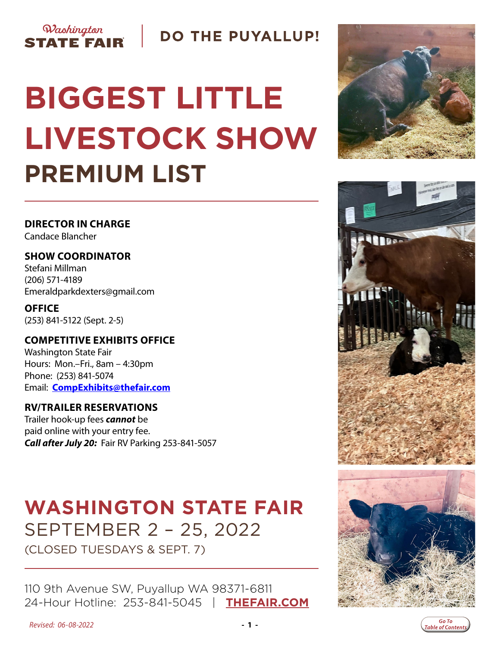### Washington **STATE FAIR**

**DO THE PUYALLUP!** 

# **BIGGEST LITTLE LIVESTOCK SHOW PREMIUM LIST**

**DIRECTOR IN CHARGE** Candace Blancher

**SHOW COORDINATOR** Stefani Millman (206) 571-4189 Emeraldparkdexters@gmail.com

**OFFICE** (253) 841-5122 (Sept. 2-5)

#### **COMPETITIVE EXHIBITS OFFICE** Washington State Fair Hours: Mon.–Fri., 8am – 4:30pm Phone: (253) 841-5074 Email: **[CompExhibits@thefair.com](mailto:CompExhibits%40thefair.com?subject=Beef%20Cattle%20Show%20inquiry)**

#### **RV/TRAILER RESERVATIONS**

Trailer hook-up fees *cannot* be paid online with your entry fee. *Call after July 20:* Fair RV Parking 253-841-5057

## **WASHINGTON STATE FAIR** SEPTEMBER 2 – 25, 2022

(CLOSED TUESDAYS & SEPT. 7)

110 9th Avenue SW, Puyallup WA 98371-6811 24-Hour Hotline: 253-841-5045 | **[THEFAIR.COM](http://www.thefair.com)**







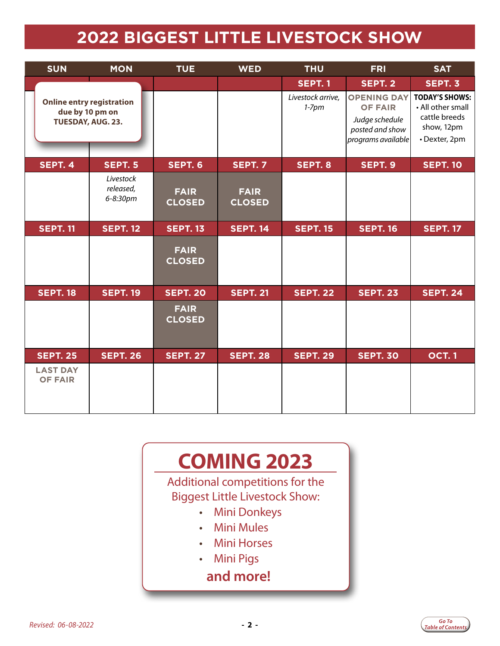## **2022 BIGGEST LITTLE LIVESTOCK SHOW**

<span id="page-1-0"></span>

| <b>SUN</b><br><b>MON</b>                                                 |                                    | <b>TUE</b>                   | <b>WED</b><br><b>THU</b>     |                              | <b>FRI</b>                                                                                      | <b>SAT</b>                                                                                 |  |
|--------------------------------------------------------------------------|------------------------------------|------------------------------|------------------------------|------------------------------|-------------------------------------------------------------------------------------------------|--------------------------------------------------------------------------------------------|--|
|                                                                          |                                    |                              |                              | <b>SEPT. 1</b>               | <b>SEPT. 2</b>                                                                                  | SEPT. 3                                                                                    |  |
| <b>Online entry registration</b><br>due by 10 pm on<br>TUESDAY, AUG. 23. |                                    |                              |                              | Livestock arrive,<br>$1-7pm$ | <b>OPENING DAY</b><br><b>OF FAIR</b><br>Judge schedule<br>posted and show<br>programs available | <b>TODAY'S SHOWS:</b><br>• All other small<br>cattle breeds<br>show, 12pm<br>· Dexter, 2pm |  |
| SEPT. 4                                                                  | SEPT. 5                            | <b>SEPT. 6</b>               | <b>SEPT. 7</b>               | SEPT. 8                      | SEPT. 9                                                                                         | <b>SEPT. 10</b>                                                                            |  |
|                                                                          | Livestock<br>released,<br>6-8:30pm | <b>FAIR</b><br><b>CLOSED</b> | <b>FAIR</b><br><b>CLOSED</b> |                              |                                                                                                 |                                                                                            |  |
| <b>SEPT. 11</b><br><b>SEPT. 12</b>                                       |                                    | <b>SEPT. 13</b>              | <b>SEPT. 14</b>              | <b>SEPT. 15</b>              | <b>SEPT. 16</b>                                                                                 | <b>SEPT. 17</b>                                                                            |  |
|                                                                          |                                    | <b>FAIR</b><br><b>CLOSED</b> |                              |                              |                                                                                                 |                                                                                            |  |
| <b>SEPT. 18</b>                                                          | <b>SEPT. 19</b>                    |                              | <b>SEPT. 21</b>              | <b>SEPT. 22</b>              | <b>SEPT. 23</b>                                                                                 | <b>SEPT. 24</b>                                                                            |  |
|                                                                          |                                    | <b>FAIR</b><br><b>CLOSED</b> |                              |                              |                                                                                                 |                                                                                            |  |
| <b>SEPT. 25</b>                                                          | <b>SEPT. 26</b>                    | <b>SEPT. 27</b>              | <b>SEPT. 28</b>              | <b>SEPT. 29</b>              | <b>SEPT. 30</b>                                                                                 | <b>OCT.1</b>                                                                               |  |
| <b>LAST DAY</b><br><b>OF FAIR</b>                                        |                                    |                              |                              |                              |                                                                                                 |                                                                                            |  |

## **COMING 2023**

Additional competitions for the Biggest Little Livestock Show:

- Mini Donkeys
- Mini Mules
- Mini Horses
- Mini Pigs

## **and more!**

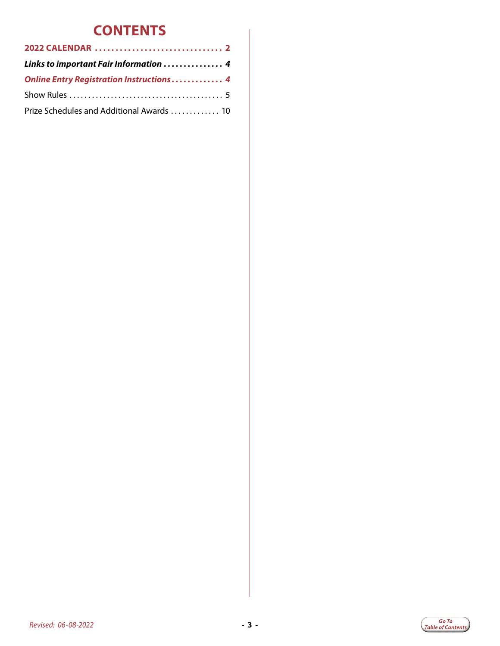## **CONTENTS**

| Links to important Fair Information  4          |  |
|-------------------------------------------------|--|
| <b>Online Entry Registration Instructions 4</b> |  |
|                                                 |  |
| Prize Schedules and Additional Awards  10       |  |

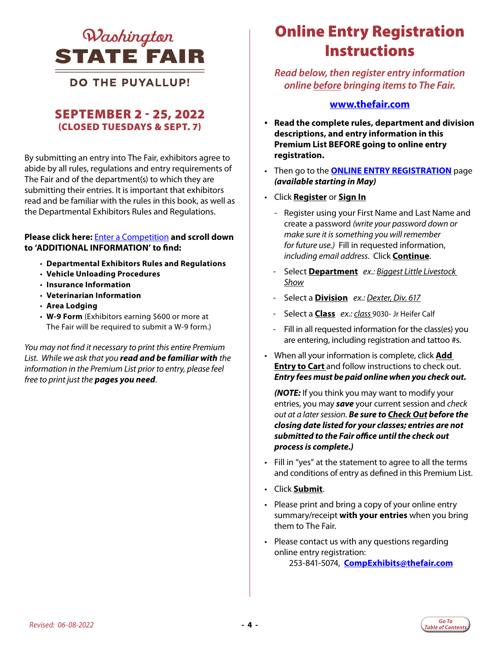<span id="page-3-0"></span>

**DO THE PUYALLUP!** 

#### SEPTEMBER 2 - 25, 2022 (CLOSED TUESDAYS & SEPT. 7)

By submitting an entry into The Fair, exhibitors agree to abide by all rules, regulations and entry requirements of The Fair and of the department(s) to which they are submitting their entries. It is important that exhibitors read and be familiar with the rules in this book, as well as the Departmental Exhibitors Rules and Regulations.

#### **Please click here:** [Enter a Competition](https://www.thefair.com/get-involved/competitive-exhibits/) **and scroll down to 'ADDITIONAL INFORMATION' to find:**

- **Departmental Exhibitors Rules and Regulations**
- **Vehicle Unloading Procedures**
- **Insurance Information**
- **Veterinarian Information**
- **Area Lodging**
- **W-9 Form** (Exhibitors earning \$600 or more at The Fair will be required to submit a W-9 form.)

*You may not find it necessary to print this entire Premium List. While we ask that you read and be familiar with the information in the Premium List prior to entry, please feel free to print just the pages you need*.

## *QInchinaton Online Entry Registration* **Instructions**

*Read below, then register entry information online before bringing items to The Fair.* 

#### **www.thefair.com**

- **Read the complete rules, department and division descriptions, and entry information in this Premium List BEFORE going to online entry registration.**
- Then go to the **[ONLINE ENTRY REGISTRATION](https://wwf.fairwire.com/)** page *(available starting in May)*
- Click **Register** or **Sign In**
	- Register using your First Name and Last Name and create a password *(write your password down or make sure it is something you will remember for future use.)* Fill in requested information, *including email address*. Click **Continue**.
	- Select **Department** *ex.: Biggest Little Livestock Show*
	- Select a **Division** *ex.: Dexter, Div. 617*
	- Select a **Class** *ex.: class* 9030- Jr Heifer Calf
	- Fill in all requested information for the class(es) you are entering, including registration and tattoo #s.
- When all your information is complete, click **Add Entry to Cart** and follow instructions to check out. *Entry fees must be paid online when you check out.*

*(NOTE:* If you think you may want to modify your entries, you may *save* your current session and *check out at a later session*. *Be sure to Check Out before the closing date listed for your classes; entries are not submitted to the Fair office until the check out process is complete.)*

- Fill in "yes" at the statement to agree to all the terms and conditions of entry as defined in this Premium List.
- Click **Submit**.
- Please print and bring a copy of your online entry summary/receipt **with your entries** when you bring them to The Fair.
- Please contact us with any questions regarding online entry registration: 253-841-5074, **[CompExhibits@thefair.com](mailto:CompExhibits%40thefair.com?subject=Beef%20Cattle%20Show)**

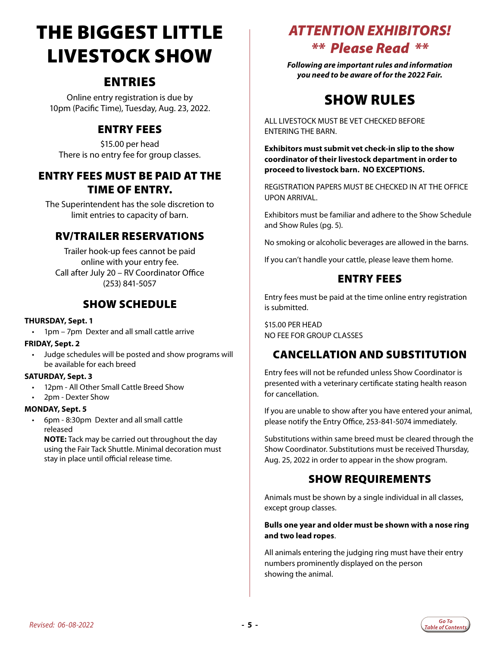## <span id="page-4-0"></span>THE BIGGEST LITTLE LIVESTOCK SHOW

### ENTRIES

Online entry registration is due by 10pm (Pacific Time), Tuesday, Aug. 23, 2022.

#### ENTRY FEES

\$15.00 per head There is no entry fee for group classes.

#### ENTRY FEES MUST BE PAID AT THE TIME OF ENTRY.

The Superintendent has the sole discretion to limit entries to capacity of barn.

#### RV/TRAILER RESERVATIONS

Trailer hook-up fees cannot be paid online with your entry fee. Call after July 20 – RV Coordinator Office (253) 841-5057

#### SHOW SCHEDULE

#### **THURSDAY, Sept. 1**

• 1pm – 7pm Dexter and all small cattle arrive

#### **FRIDAY, Sept. 2**

• Judge schedules will be posted and show programs will be available for each breed

#### **SATURDAY, Sept. 3**

- 12pm All Other Small Cattle Breed Show
- 2pm Dexter Show

#### **MONDAY, Sept. 5**

• 6pm - 8:30pm Dexter and all small cattle released

**NOTE:** Tack may be carried out throughout the day using the Fair Tack Shuttle. Minimal decoration must stay in place until official release time.

### *ATTENTION EXHIBITORS! \*\* Please Read \*\**

*Following are important rules and information you need to be aware of for the 2022 Fair.*

## SHOW RULES

ALL LIVESTOCK MUST BE VET CHECKED BEFORE ENTERING THE BARN.

**Exhibitors must submit vet check-in slip to the show coordinator of their livestock department in order to proceed to livestock barn. NO EXCEPTIONS.**

REGISTRATION PAPERS MUST BE CHECKED IN AT THE OFFICE UPON ARRIVAL.

Exhibitors must be familiar and adhere to the Show Schedule and Show Rules (pg. 5).

No smoking or alcoholic beverages are allowed in the barns.

If you can't handle your cattle, please leave them home.

#### ENTRY FEES

Entry fees must be paid at the time online entry registration is submitted.

\$15.00 PER HEAD NO FEE FOR GROUP CLASSES

#### CANCELLATION AND SUBSTITUTION

Entry fees will not be refunded unless Show Coordinator is presented with a veterinary certificate stating health reason for cancellation.

If you are unable to show after you have entered your animal, please notify the Entry Office, 253-841-5074 immediately.

Substitutions within same breed must be cleared through the Show Coordinator. Substitutions must be received Thursday, Aug. 25, 2022 in order to appear in the show program.

#### SHOW REQUIREMENTS

Animals must be shown by a single individual in all classes, except group classes.

#### **Bulls one year and older must be shown with a nose ring and two lead ropes**.

All animals entering the judging ring must have their entry numbers prominently displayed on the person showing the animal.

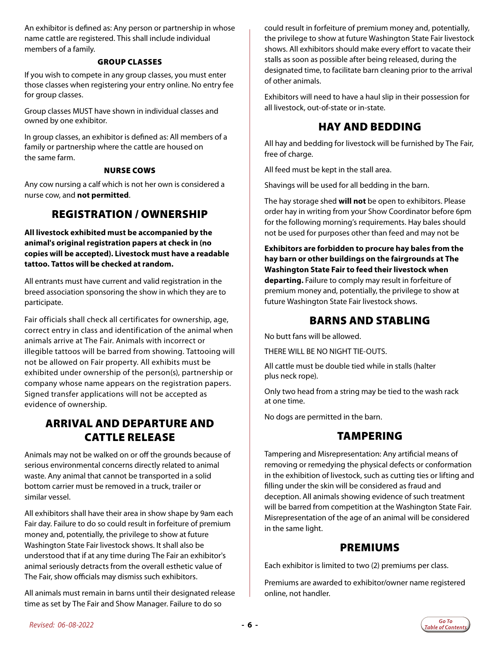An exhibitor is defined as: Any person or partnership in whose name cattle are registered. This shall include individual members of a family.

#### GROUP CLASSES

If you wish to compete in any group classes, you must enter those classes when registering your entry online. No entry fee for group classes.

Group classes MUST have shown in individual classes and owned by one exhibitor.

In group classes, an exhibitor is defined as: All members of a family or partnership where the cattle are housed on the same farm.

#### NURSE COWS

Any cow nursing a calf which is not her own is considered a nurse cow, and **not permitted**.

#### REGISTRATION / OWNERSHIP

**All livestock exhibited must be accompanied by the animal's original registration papers at check in (no copies will be accepted). Livestock must have a readable tattoo. Tattos will be checked at random.**

All entrants must have current and valid registration in the breed association sponsoring the show in which they are to participate.

Fair officials shall check all certificates for ownership, age, correct entry in class and identification of the animal when animals arrive at The Fair. Animals with incorrect or illegible tattoos will be barred from showing. Tattooing will not be allowed on Fair property. All exhibits must be exhibited under ownership of the person(s), partnership or company whose name appears on the registration papers. Signed transfer applications will not be accepted as evidence of ownership.

#### ARRIVAL AND DEPARTURE AND CATTLE RELEASE

Animals may not be walked on or off the grounds because of serious environmental concerns directly related to animal waste. Any animal that cannot be transported in a solid bottom carrier must be removed in a truck, trailer or similar vessel.

All exhibitors shall have their area in show shape by 9am each Fair day. Failure to do so could result in forfeiture of premium money and, potentially, the privilege to show at future Washington State Fair livestock shows. It shall also be understood that if at any time during The Fair an exhibitor's animal seriously detracts from the overall esthetic value of The Fair, show officials may dismiss such exhibitors.

All animals must remain in barns until their designated release time as set by The Fair and Show Manager. Failure to do so

could result in forfeiture of premium money and, potentially, the privilege to show at future Washington State Fair livestock shows. All exhibitors should make every effort to vacate their stalls as soon as possible after being released, during the designated time, to facilitate barn cleaning prior to the arrival of other animals.

Exhibitors will need to have a haul slip in their possession for all livestock, out-of-state or in-state.

#### HAY AND BEDDING

All hay and bedding for livestock will be furnished by The Fair, free of charge.

All feed must be kept in the stall area.

Shavings will be used for all bedding in the barn.

The hay storage shed **will not** be open to exhibitors. Please order hay in writing from your Show Coordinator before 6pm for the following morning's requirements. Hay bales should not be used for purposes other than feed and may not be

**Exhibitors are forbidden to procure hay bales from the hay barn or other buildings on the fairgrounds at The Washington State Fair to feed their livestock when departing.** Failure to comply may result in forfeiture of premium money and, potentially, the privilege to show at future Washington State Fair livestock shows.

#### BARNS AND STABLING

No butt fans will be allowed.

THERE WILL BE NO NIGHT TIE-OUTS.

All cattle must be double tied while in stalls (halter plus neck rope).

Only two head from a string may be tied to the wash rack at one time.

No dogs are permitted in the barn.

#### TAMPERING

Tampering and Misrepresentation: Any artificial means of removing or remedying the physical defects or conformation in the exhibition of livestock, such as cutting ties or lifting and filling under the skin will be considered as fraud and deception. All animals showing evidence of such treatment will be barred from competition at the Washington State Fair. Misrepresentation of the age of an animal will be considered in the same light.

#### PREMIUMS

Each exhibitor is limited to two (2) premiums per class.

Premiums are awarded to exhibitor/owner name registered online, not handler.

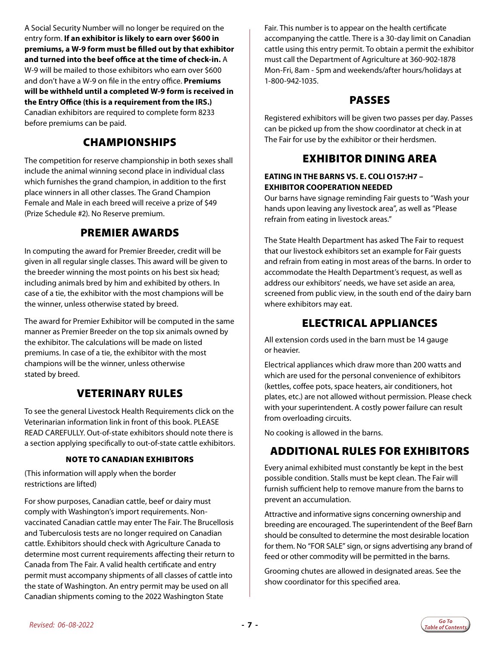A Social Security Number will no longer be required on the entry form. **If an exhibitor is likely to earn over \$600 in premiums, a W-9 form must be filled out by that exhibitor and turned into the beef office at the time of check-in.** A W-9 will be mailed to those exhibitors who earn over \$600 and don't have a W-9 on file in the entry office. **Premiums will be withheld until a completed W-9 form is received in the Entry Office (this is a requirement from the IRS.)** Canadian exhibitors are required to complete form 8233 before premiums can be paid.

#### CHAMPIONSHIPS

The competition for reserve championship in both sexes shall include the animal winning second place in individual class which furnishes the grand champion, in addition to the first place winners in all other classes. The Grand Champion Female and Male in each breed will receive a prize of \$49 (Prize Schedule #2). No Reserve premium.

#### PREMIER AWARDS

In computing the award for Premier Breeder, credit will be given in all regular single classes. This award will be given to the breeder winning the most points on his best six head; including animals bred by him and exhibited by others. In case of a tie, the exhibitor with the most champions will be the winner, unless otherwise stated by breed.

The award for Premier Exhibitor will be computed in the same manner as Premier Breeder on the top six animals owned by the exhibitor. The calculations will be made on listed premiums. In case of a tie, the exhibitor with the most champions will be the winner, unless otherwise stated by breed.

#### VETERINARY RULES

To see the general Livestock Health Requirements click on the Veterinarian information link in front of this book. PLEASE READ CAREFULLY. Out-of-state exhibitors should note there is a section applying specifically to out-of-state cattle exhibitors.

#### NOTE TO CANADIAN EXHIBITORS

(This information will apply when the border restrictions are lifted)

For show purposes, Canadian cattle, beef or dairy must comply with Washington's import requirements. Nonvaccinated Canadian cattle may enter The Fair. The Brucellosis and Tuberculosis tests are no longer required on Canadian cattle. Exhibitors should check with Agriculture Canada to determine most current requirements affecting their return to Canada from The Fair. A valid health certificate and entry permit must accompany shipments of all classes of cattle into the state of Washington. An entry permit may be used on all Canadian shipments coming to the 2022 Washington State

Fair. This number is to appear on the health certificate accompanying the cattle. There is a 30-day limit on Canadian cattle using this entry permit. To obtain a permit the exhibitor must call the Department of Agriculture at 360-902-1878 Mon-Fri, 8am - 5pm and weekends/after hours/holidays at 1-800-942-1035.

#### PASSES

Registered exhibitors will be given two passes per day. Passes can be picked up from the show coordinator at check in at The Fair for use by the exhibitor or their herdsmen.

#### EXHIBITOR DINING AREA

#### **EATING IN THE BARNS VS. E. COLI O157:H7 – EXHIBITOR COOPERATION NEEDED**

Our barns have signage reminding Fair guests to "Wash your hands upon leaving any livestock area", as well as "Please refrain from eating in livestock areas."

The State Health Department has asked The Fair to request that our livestock exhibitors set an example for Fair guests and refrain from eating in most areas of the barns. In order to accommodate the Health Department's request, as well as address our exhibitors' needs, we have set aside an area, screened from public view, in the south end of the dairy barn where exhibitors may eat.

#### ELECTRICAL APPLIANCES

All extension cords used in the barn must be 14 gauge or heavier.

Electrical appliances which draw more than 200 watts and which are used for the personal convenience of exhibitors (kettles, coffee pots, space heaters, air conditioners, hot plates, etc.) are not allowed without permission. Please check with your superintendent. A costly power failure can result from overloading circuits.

No cooking is allowed in the barns.

#### ADDITIONAL RULES FOR EXHIBITORS

Every animal exhibited must constantly be kept in the best possible condition. Stalls must be kept clean. The Fair will furnish sufficient help to remove manure from the barns to prevent an accumulation.

Attractive and informative signs concerning ownership and breeding are encouraged. The superintendent of the Beef Barn should be consulted to determine the most desirable location for them. No "FOR SALE" sign, or signs advertising any brand of feed or other commodity will be permitted in the barns.

Grooming chutes are allowed in designated areas. See the show coordinator for this specified area.

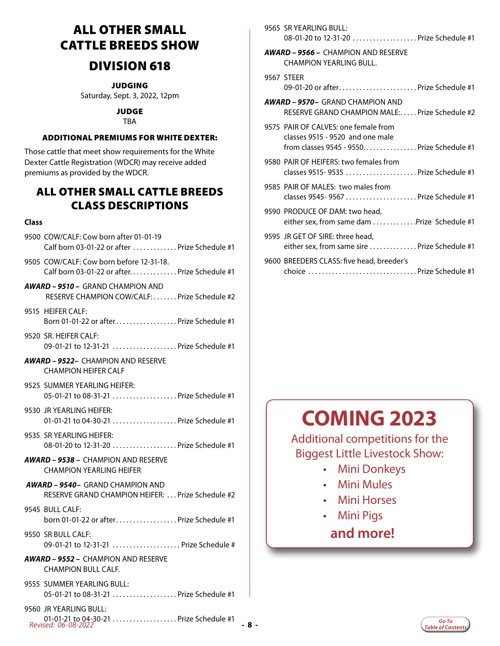## ALL OTHER SMALL CATTLE BREEDS SHOW

### DIVISION 618

JUDGING

Saturday, Sept. 3, 2022, 12pm

JUDGE **TBA** 

#### ADDITIONAL PREMIUMS FOR WHITE DEXTER:

Those cattle that meet show requirements for the White Dexter Cattle Registration (WDCR) may receive added premiums as provided by the WDCR.

#### ALL OTHER SMALL CATTLE BREEDS CLASS DESCRIPTIONS

#### **Class**

9500 COW/CALF: Cow born after 01-01-19 Calf born 03-01-22 or after  $\ldots$   $\ldots$   $\ldots$  . Prize Schedule #1

9505 COW/CALF: Cow born before 12-31-18. Calf born 03-01-22 or after............... Prize Schedule  $#1$ 

- *AWARD 9510* GRAND CHAMPION AND RESERVE CHAMPION COW/CALF:......Prize Schedule #2
- 9515 HEIFER CALF: Born 01-01-22 or after.  $\ldots$ ,  $\ldots$ ,  $\ldots$ , Prize Schedule #1
- 9520 SR. HEIFER CALF: 09-01-21 to 12-31-21 .................... Prize Schedule #1
- *AWARD 9522–* CHAMPION AND RESERVE CHAMPION HEIFER CALF
- 9525 SUMMER YEARLING HEIFER: 05-01-21 to 08-31-21 .................... Prize Schedule #1
- 9530 JR YEARLING HEIFER: 01-01-21 to 04-30-21 .................... Prize Schedule #1
- 9535 SR YEARLING HEIFER: 08-01-20 to 12-31-20 . . . . . . . . . . . . . . . . . . Prize Schedule #1
- *AWARD 9538* CHAMPION AND RESERVE CHAMPION YEARLING HEIFER
- *AWARD 9540–* GRAND CHAMPION AND RESERVE GRAND CHAMPION HEIFER: ... Prize Schedule #2
- 9545 BULL CALF: born 01-01-22 or after. . . Prize Schedule #1
- 9550 SR BULL CALF: 09-01-21 to 12-31-21 ...................... Prize Schedule #
- *AWARD 9552* CHAMPION AND RESERVE CHAMPION BULL CALF.
- 9555 SUMMER YEARLING BULL: 05-01-21 to 08-31-21 .................... Prize Schedule #1
- *Revised: 06-08-2022*  **8 -** 01-01-21 to 04-30-21. . . Prize Schedule #1 9560 JR YEARLING BULL:

|  | 9565 SR YEARLING BULL:<br>08-01-20 to 12-31-20  Prize Schedule #1                                                                                                                                                                                                                                |
|--|--------------------------------------------------------------------------------------------------------------------------------------------------------------------------------------------------------------------------------------------------------------------------------------------------|
|  | <b>AWARD - 9566 - CHAMPION AND RESERVE</b><br><b>CHAMPION YEARLING BULL.</b>                                                                                                                                                                                                                     |
|  | 9567 STEER<br>09-01-20 or afterPrize Schedule #1                                                                                                                                                                                                                                                 |
|  | <b>AWARD – 9570–</b> GRAND CHAMPION AND<br>RESERVE GRAND CHAMPION MALE: Prize Schedule #2                                                                                                                                                                                                        |
|  | 9575 PAIR OF CALVES: one female from<br>classes 9515 - 9520 and one male<br>from classes 9545 - 9550Prize Schedule #1                                                                                                                                                                            |
|  | 9580 PAIR OF HEIFERS: two females from<br>classes 9515-9535 Prize Schedule #1                                                                                                                                                                                                                    |
|  | 9585 PAIR OF MALES: two males from<br>classes 9545-9567 Prize Schedule #1                                                                                                                                                                                                                        |
|  | 9590 PRODUCE OF DAM: two head,<br>either sex, from same dam Prize Schedule #1                                                                                                                                                                                                                    |
|  | 9595 JR GET OF SIRE: three head,<br>either sex, from same sire  Prize Schedule #1                                                                                                                                                                                                                |
|  | 9600 BREEDERS CLASS: five head, breeder's<br>Prize Schedule #1<br>choice and the choice of the contract of the contract of the contract of the contract of the contract of the contract of the contract of the contract of the contract of the contract of the contract of the contract of the c |

## **COMING 2023**

Additional competitions for the Biggest Little Livestock Show:

- Mini Donkeys
- Mini Mules
- Mini Horses
- Mini Pigs

### **and more!**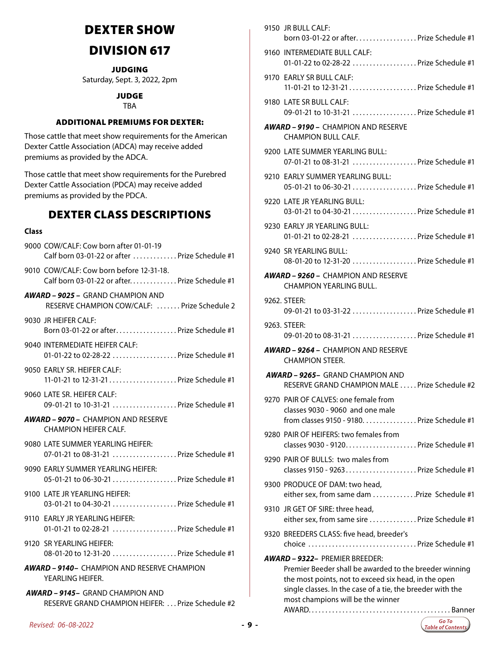## DEXTER SHOW

## DIVISION 617

JUDGING

Saturday, Sept. 3, 2022, 2pm

#### JUDGE

TBA

#### ADDITIONAL PREMIUMS FOR DEXTER:

Those cattle that meet show requirements for the American Dexter Cattle Association (ADCA) may receive added premiums as provided by the ADCA.

Those cattle that meet show requirements for the Purebred Dexter Cattle Association (PDCA) may receive added premiums as provided by the PDCA.

#### DEXTER CLASS DESCRIPTIONS

#### **Class**

| 9000 COW/CALF: Cow born after 01-01-19<br>Calf born 03-01-22 or after  Prize Schedule #1     |     |
|----------------------------------------------------------------------------------------------|-----|
| 9010 COW/CALF: Cow born before 12-31-18.<br>Calf born 03-01-22 or after Prize Schedule #1    |     |
| <b>AWARD – 9025 –</b> GRAND CHAMPION AND<br>RESERVE CHAMPION COW/CALF:  Prize Schedule 2     |     |
| 9030 JR HEIFER CALF:<br>Born 03-01-22 or afterPrize Schedule #1                              |     |
| 9040 INTERMEDIATE HEIFER CALF:<br>01-01-22 to 02-28-22  Prize Schedule #1                    |     |
| 9050  EARLY SR. HEIFER CALF:<br>11-01-21 to 12-31-21  Prize Schedule #1                      |     |
| 9060  LATE SR. HEIFER CALF:<br>09-01-21 to 10-31-21  Prize Schedule #1                       |     |
| <b>AWARD – 9070 –</b> CHAMPION AND RESERVE<br><b>CHAMPION HEIFER CALF.</b>                   |     |
| 9080 LATE SUMMER YEARLING HEIFER:<br>07-01-21 to 08-31-21  Prize Schedule #1                 |     |
| 9090 EARLY SUMMER YEARLING HEIFER:<br>05-01-21 to 06-30-21 Prize Schedule #1                 |     |
| 9100  LATE JR YEARLING HEIFER:<br>03-01-21 to 04-30-21  Prize Schedule #1                    |     |
| 9110 EARLY JR YEARLING HEIFER:<br>01-01-21 to 02-28-21  Prize Schedule #1                    |     |
| 9120 SR YEARLING HEIFER:<br>08-01-20 to 12-31-20 Prize Schedule #1                           |     |
| <b>AWARD – 9140–</b> CHAMPION AND RESERVE CHAMPION<br>YEARLING HEIFER.                       |     |
| <b>AWARD - 9145- GRAND CHAMPION AND</b><br>RESERVE GRAND CHAMPION HEIFER:  Prize Schedule #2 |     |
| Revised: 06-08-2022                                                                          | -9- |

| 9150 JR BULL CALF:<br>born 03-01-22 or afterPrize Schedule #1                                                                                                                                                                                              |
|------------------------------------------------------------------------------------------------------------------------------------------------------------------------------------------------------------------------------------------------------------|
| 9160 INTERMEDIATE BULL CALF:<br>01-01-22 to 02-28-22  Prize Schedule #1                                                                                                                                                                                    |
| 9170 EARLY SR BULL CALF:<br>11-01-21 to 12-31-21  Prize Schedule #1                                                                                                                                                                                        |
| 9180 LATE SR BULL CALF:<br>09-01-21 to 10-31-21  Prize Schedule #1                                                                                                                                                                                         |
| AWARD - 9190 - CHAMPION AND RESERVE<br>CHAMPION BULL CALF.                                                                                                                                                                                                 |
| 9200 LATE SUMMER YEARLING BULL:<br>07-01-21 to 08-31-21  Prize Schedule #1                                                                                                                                                                                 |
| 9210 EARLY SUMMER YEARLING BULL:<br>05-01-21 to 06-30-21  Prize Schedule #1                                                                                                                                                                                |
| 9220 LATE JR YEARLING BULL:<br>03-01-21 to 04-30-21 Prize Schedule #1                                                                                                                                                                                      |
| 9230 EARLY JR YEARLING BULL:<br>01-01-21 to 02-28-21  Prize Schedule #1                                                                                                                                                                                    |
| 9240 SR YEARLING BULL:<br>08-01-20 to 12-31-20  Prize Schedule #1                                                                                                                                                                                          |
| <b>AWARD – 9260 – CHAMPION AND RESERVE</b><br>CHAMPION YEARLING BULL.                                                                                                                                                                                      |
| 9262. STEER:<br>09-01-21 to 03-31-22  Prize Schedule #1                                                                                                                                                                                                    |
| 9263. STEER:<br>09-01-20 to 08-31-21  Prize Schedule #1                                                                                                                                                                                                    |
| <b>AWARD – 9264 – CHAMPION AND RESERVE</b><br><b>CHAMPION STEER.</b>                                                                                                                                                                                       |
| <b>AWARD – 9265–</b> GRAND CHAMPION AND<br>RESERVE GRAND CHAMPION MALE  Prize Schedule #2                                                                                                                                                                  |
| 9270 PAIR OF CALVES: one female from<br>classes 9030 - 9060 and one male<br>from classes 9150 - 9180. Prize Schedule #1                                                                                                                                    |
| 9280 PAIR OF HEIFERS: two females from                                                                                                                                                                                                                     |
| 9290 PAIR OF BULLS: two males from<br>classes 9150 - 9263 Prize Schedule #1                                                                                                                                                                                |
| 9300 PRODUCE OF DAM: two head,<br>either sex, from same dam Prize Schedule #1                                                                                                                                                                              |
| 9310 JR GET OF SIRE: three head,<br>either sex, from same sire  Prize Schedule #1                                                                                                                                                                          |
| 9320 BREEDERS CLASS: five head, breeder's<br>choice  Prize Schedule #1                                                                                                                                                                                     |
| <b>AWARD - 9322- PREMIER BREEDER:</b><br>Premier Beeder shall be awarded to the breeder winning<br>the most points, not to exceed six head, in the open<br>single classes. In the case of a tie, the breeder with the<br>most champions will be the winner |

 $9150$  JR BULL CALF

AWARD.. . . Banner